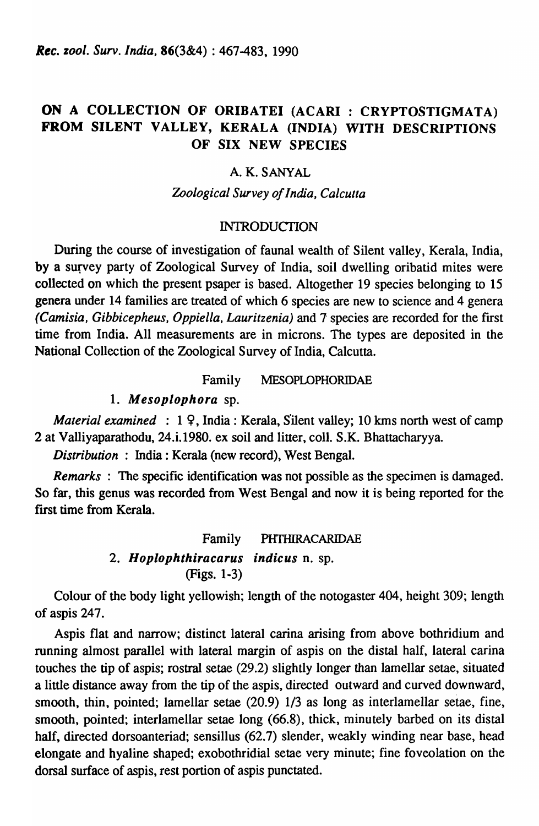*Rec. zool. Surv. India,* 86(3&4) : 467-483, 1990

# ON A COLLECTION OF ORIBATEI (ACARI : CRYPTOSTIGMATA) FROM SILENT VALLEY, KERALA (INDIA) WITH DESCRIPTIONS OF SIX NEW SPECIES

## A. K. SANYAL

## *Zoological Survey of India, Calcutta*

## INTRODUCTION

During the course of investigation of faunal wealth of Silent valley, Kerala, India, by a survey party of Zoological Survey of India, soil dwelling oribatid mites were collected on which the present psaper is based. Altogether 19 species belonging to 15 genera under 14 families are treated of which 6 species are new to science and 4 genera *(Camisia, Gibbicepheus, Oppiella, Lauritzenia)* and 7 species are recorded for the first time from India. All measurements are in microns. The types are deposited in the National Collection of the Zoological Survey of India, Calcutta.

## Family MESOPLOPHORIDAE

## 1. Mesoplophora sp.

*Material examined* : 1 9, India: Kerala, Silent valley; 10 kms north west of camp 2 at Valliyaparatbodu, 24.i.1980. ex soil and litter, colI. S.K. Bhattacharyya.

*Distribution* : India: Kerala (new record), West Bengal.

*Remarks* : The specific identification was not possible as the specimen is damaged. So far, this genus was recorded from West Bengal and now it is being reported for the first time from Kerala.

## Family PHTHIRACARIDAE

2. Hoplophthiracarus indicus n. sp. (Figs. 1-3)

Colour of the body light yellowish; length of the notogaster 404, height 309; length of aspis 247.

Aspis flat and narrow; distinct lateral carina arising from above bothridium and running almost parallel with lateral margin of aspis on the distal half, lateral carina touches the tip of aspis; rostral setae (29.2) slightly longer than lamellar setae, situated a little distance away from the tip of the aspis, directed outward and curved downward, smooth, thin, pointed; lamellar setae (20.9) 1/3 as long as interlamellar setae, fine, smooth, pointed; interlamellar setae long (66.8), thick, minutely barbed on its distal half, directed dorsoanteriad; sensillus (62.7) slender, weakly winding near base, head elongate and hyaline shaped; exobothridial setae very minute; fine foveolation on the dorsal surface of aspis, rest portion of aspis punctated.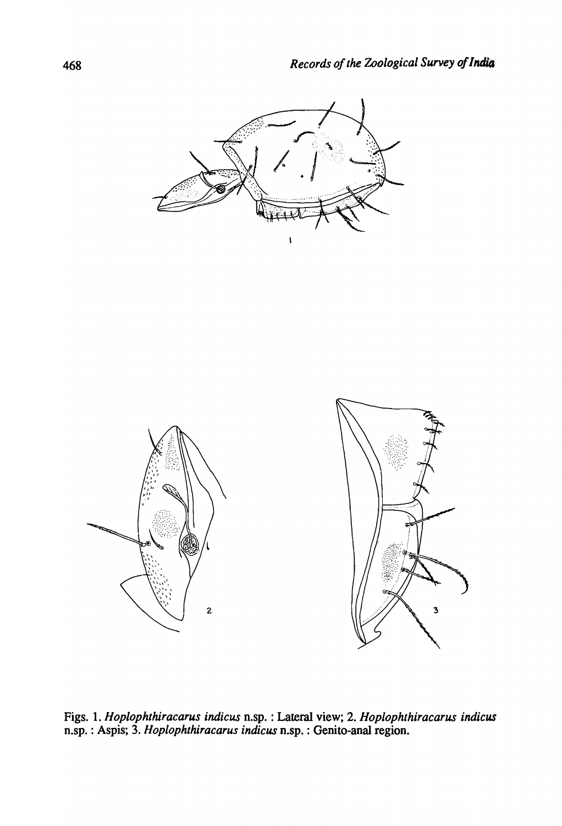



Figs. 1. *Hoplophthiracarus·indicus* n.sp. : Lateral view; 2. *Hoplophthiracarus indicus*  n.sp. : Aspis; 3. *Hoplophthiracarus indicus* n.sp. : Genito-anal region.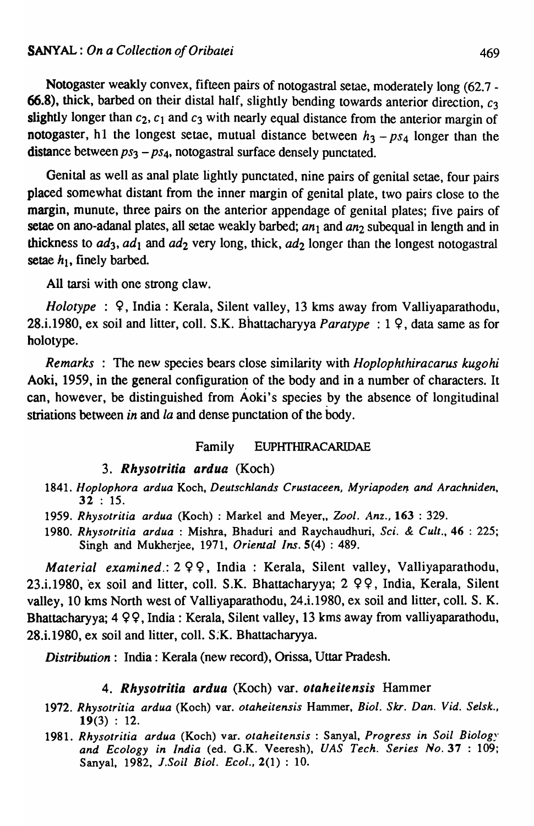Notogaster weakly convex, fifteen pairs of notogastral setae, moderately long (62.7 - 66.8), thick, barbed on their distal half, slightly bending towards anterior direction,  $c_3$ slightly longer than  $c_2$ ,  $c_1$  and  $c_3$  with nearly equal distance from the anterior margin of notogaster, h1 the longest setae, mutual distance between  $h_3 - ps_4$  longer than the distance between  $ps_3 - ps_4$ , notogastral surface densely punctated.

Genital as well as anal plate lightly punctated, nine pairs of genital setae, four pairs placed somewhat distant from the inner margin of genital plate, two pairs close to the margin, munute, three pairs on the anterior appendage of genital plates; five pairs of setae on ano-adanal plates, all setae weakly barbed; an<sub>1</sub> and an<sub>2</sub> subequal in length and in thickness to  $ad_3$ ,  $ad_1$  and  $ad_2$  very long, thick,  $ad_2$  longer than the longest notogastral setae  $h_1$ , finely barbed.

All tarsi with one strong claw.

*Holotype* : 9, India: Kerala, Silent valley, 13 kms away from Valliyaparathodu, 28.i.1980, ex soil and litter, coIl. S.K. Bhattacharyya *Paratype* : 1 9, data same as for holotype.

*Remarks* : The new species bears close similarity with *Hoplophthiracarus kugohi*  Aoki, 1959, in the general configuration of the body and in a number of characters. It can, however, be distinguished from Aoki's species by the absence of longitudinal striations between *in* and *la* and dense punctation of the body.

#### Family EUPHTHIRACARIDAE

#### *3. Rhysotritia ardua* (Koch)

- 1841. Hoplophora ardua Koch, Deutschlands Crustaceen, Myriapoden and Arachniden, 32 : 15.
- *1959. Rhysotritia ardua* (Koch) : Markel and Meyer" 2001. *ilnz.,* 163 : 329.
- *1980. Rhysotritia ardua* : Mishra, Bhaduri and Raychaudhuri, *Sci.* & *Cult.,* 46 : 225; Singh and Mukherjee, 1971, *Oriental Ins.* 5(4) : 489.

*Material examined.:*  $2 \varphi$ , India: Kerala, Silent valley, Valliyaparathodu, 23.i.1980, ex soil and litter, coll. S.K. Bhattacharyya; 2 99, India, Kerala, Silent valley, 10 kms North west of Valliyaparathodu, 24.i.1980, ex soil and litter, colI. S. K. Bhattacharyya; 4 99, India: Kerala, Silent valley, 13 kms away from valliyaparathodu, 28.i.1980, ex soil and litter, coIl. S:K. Bhattacharyya.

*Distribution:* India: Kerala (new record), Orissa, Uttar Pradesh.

## *4. Rhysotritia ardua* (Koch) var. *otaheitensis* Hammer

- 1972. Rhysotritia ardua (Koch) var. otaheitensis Hammer, Biol. Skr. Dan. Vid. Selsk.,  $19(3) : 12.$
- *1981. Rhysotritia ardua* (Koch) var. *otaheitensis* : Sanyal, *Progress in Soil* Biolog~· *and Ecology in India* (ed. G.K. Veeresh), *VAS Tech. Series No.* 37 : 109; Sanyal, 1982, *i.Soil Bioi. Ecol.,* 2(1) : 10.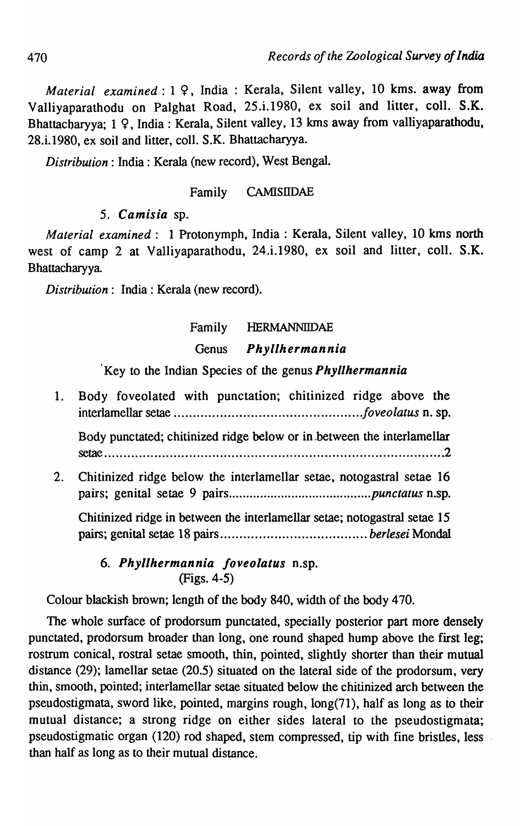*Material examined*: 1 9, India: Kerala, Silent valley, 10 kms. away from Valliyaparathodu on Palghat Road, 25.i.1980, ex soil and litter, coll. S.K. Bhattacharyya; 1 9, India: Kerala, Silent valley, 13 kms away from valliyaparathodu, 28.i.1980, ex soil and litter, colI. S.K. Bhattacharyya.

*Distribution:* India: Kerala (new record), West Bengal.

## Family CAMISIIDAE

# *5. Camisia* sp.

*Material examined:* 1 Protonymph, India: Kerala, Silent valley, 10 kms north west of camp 2 at Valliyaparathodu, 24.i.1980, ex soil and litter, colI. S.K. Bhattacharyya

*Distribution:* India: Kerala (new record).

# Family HERMANNllDAE

# Genus *Phyllhermannia*

# 'Key to the Indian Species of the genus *Phyllhermannia*

1. Body foveolated with punctation; chitinized ridge above the interlamellar setae ................................................*. foveolatus* n. sp. Body punctated; chitinized ridge below or in .between the interlamellar seta.e ........................................................................................ \_ .2 2. Chitinized ridge below the interlamellar setae, notogastral setae 16 pairs; genital setae 9 pairs ......................................... *punctatus* n.sp. Chitinized ridge in between the interlamellar setae; notogastral setae 15

pairs; genital setae 18 pairs ...................................... *berlesei* MondaI

# *6. Phyllhermannia Joveolatus* n.sp. (Figs. 4-5)

Colour blackish brown; length of the body 840, width of the body 470.

The whole surface of prodorsum punctated, specially posterior part more densely punctated, prodorsum broader than long, one round shaped hump above the first leg; rostrum conical, rostral setae smooth, thin, pointed, slightly shorter than their mutual distance  $(29)$ ; lamellar setae  $(20.5)$  situated on the lateral side of the prodorsum, very thin, smooth, pointed; interlamellar setae situated below the chitinized arch between the pseudostigmata, sword like, pointed, margins rough, long(71), half as long as to their mutual distance; a strong ridge on either sides lateral to the pseudostigmata; pseudostigmatic organ (120) rod shaped, stem compressed, tip with fine bristles, less than half as long as to their mutual distance.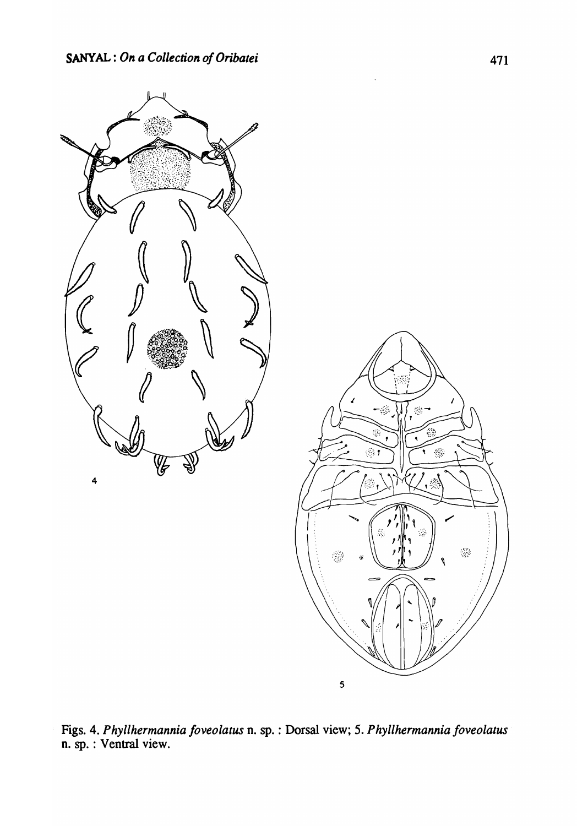

Figs. 4. *Phyllhermannia Joveolatus* n. sp. : Dorsal view; 5. *Phyllhermannia Joveolatus*  n. sp. : Ventral view.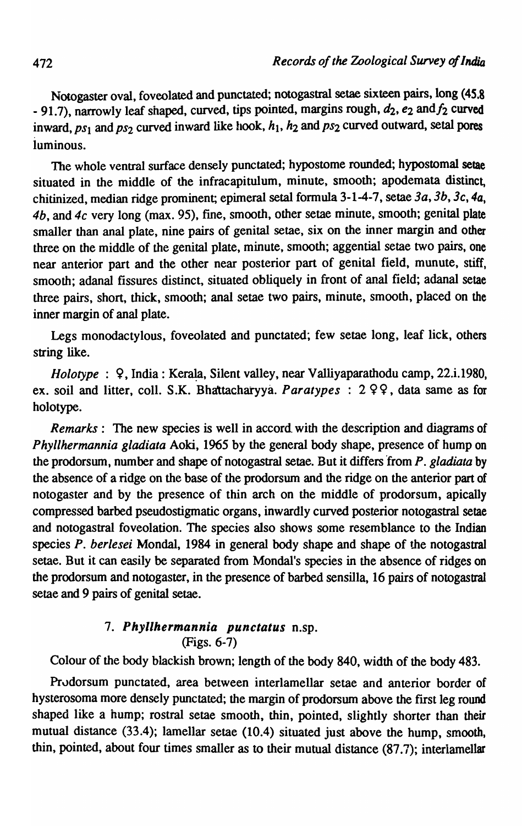Notogaster oval, foveolated and punctated; notogastral setae sixteen pairs, long (45.8 - 91.7), narrowly leaf shaped, curved, tips pointed, margins rough,  $d_2$ ,  $e_2$  and  $f_2$  curved inward,  $ps_1$  and  $ps_2$  curved inward like hook,  $h_1$ ,  $h_2$  and  $ps_2$  curved outward, setal pores luminous.

The whole ventral surface densely punctated; hypostome rounded; hypostomal setae situated in the middle of the infracapitulum, minute, smooth; apodemata distinct, chitinized, median ridge prominent; epimeral setal fonnula 3-1-4-7, setae *3a, 3b, 3c,* 4a, *4b,* and *4c* very long (max. 95), fine, smooth, other setae minute, smooth; genital plate smaller than anal plate, nine pairs of genital setae, six on the inner margin and other three on the middle of the genital plate, minute, smooth; aggential setae two pairs, one near anterior part and the other near posterior part of genital field, munute, stiff, smooth; adanal fissures distinct, situated obliquely in front of anal field; adanal setae three pairs, short, thick, smooth; anal setae two pairs, minute, smooth, placed on the inner margin of anal plate.

Legs monodactylous, foveolated and punctated; few setae long, leaf lick, others string like.

*Holotype* :  $\varphi$ , India: Kerala, Silent valley, near Valliyaparathodu camp, 22.i.1980, ex. soil and litter, coll. S.K. Bhattacharyya. *Paratypes* : 299, data same as for holotype.

*Remarks:* The new species is well in accord with the description and diagrams of *Phyllhermannia gladiata* Aoki, 1965 by the general body shape, presence of hump on the prodorsum, number and shape of notogastral setae. But it differs from P. gladiata by the absence of a ridge on the base of the prodorsum and the ridge on the anterior part of notogaster and by the presence of thin arch on the middle of prodorsum, apically compressed barbed pseudostigmatic organs, inwardly curved posterior notogastral setae and notogastral foveolation. The species also shows some resemblance to the Indian species *P. berlesei* Mondal, 1984 in general body shape and shape of the notogastral setae. But it can easily be separated from Mondal's species in the absence of ridges on the prodorsum and notogaster, in the presence of barbed sensilla, 16 pairs of notogastraI setae and 9 pairs of genital setae.

# *7. P hyllhermannia punctatus* n.sp. (Figs. 6-7)

Colour of the body blackish brown; length of the body 840, width of the body 483.

Prodorsum punctated, area between interlamellar setae and anterior border of hysterosoma more densely punctated; the margin of prodorsum above the frrst leg round shaped like a hump; rostral setae smooth, thin, pointed, slightly shorter than their mutual distance (33.4); lamellar setae (10.4) situated just above the hump, smooth, thin, pointed, about four times smaller as to their mutual distance (87.7); interlamellar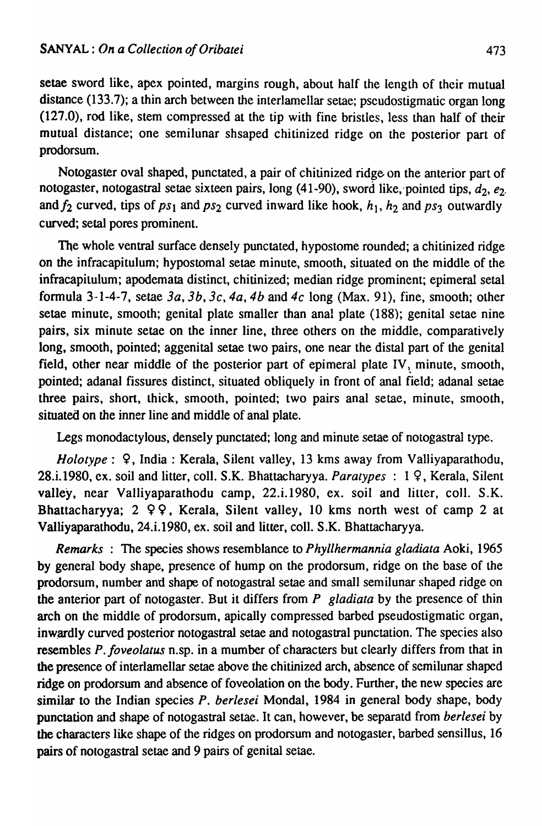setae sword like, apex pointed, margins rough, about half the length of their mutual distance (133.7); a thin arch between the interlamellar setae; pseudostigmatic organ long (127.0), rod like, stem compressed at the tip with fine bristles, less than half of their mutual distance; one semilunar shsaped chitinized ridge on the posterior part of prodorsum.

Notogaster oval shaped, punctated, a pair of chitinized ridge on the anterior part of notogaster, notogastral setae sixteen pairs, long  $(41-90)$ , sword like, pointed tips,  $d_2$ ,  $e_2$ . and  $f_2$  curved, tips of  $ps_1$  and  $ps_2$  curved inward like hook,  $h_1$ ,  $h_2$  and  $ps_3$  outwardly curved; setal pores prominent.

The whole ventral surface densely punctated, hypostome rounded; a chitinized ridge on the infracapitulum; hypostomal setae minute, smooth, situated on the middle of the infracapitulum; apodcmata distinct, chitinized; median ridge prominent; epimeral setal formula 3-1-4-7, setae  $3a$ ,  $3b$ ,  $3c$ ,  $4a$ ,  $4b$  and  $4c$  long (Max. 91), fine, smooth; other setae minute, smooth; genital plate smaller than anal plate (188); genital setae nine pairs, six minute setae on the inner line, three others on the middle, comparatively long, smooth, pointed; aggenital setae two pairs, one near the distal part of the genital field, other near middle of the posterior part of epimeral plate IV, minute, smooth, pointed; adanal fissures distinct, situated obliquely in front of anal field; adanal setae three pairs, short, thick, smooth, pointed; two pairs anal setae, minute, smooth, situated on the inner line and middle of anal plate.

Legs monodactylous, densely punctated; long and minute setae of notogastral type.

*Holotype*:  $9$ , India: Kerala, Silent valley, 13 kms away from Valliyaparathodu, 28.i.1980, ex. soil and litter, coll. S.K. Bhattacharyya. *Paratypes* : 19, Kerala, Silent valley, near Valliyaparathodu camp, 22.i.1980, ex. soil and litter, colI. S.K. Bhattacharyya;  $2 \varphi$ , Kerala, Silent valley, 10 kms north west of camp 2 at Valliyaparathodu, 24.i.1980, ex. soil and litter, coIl. S.K. Bhattacharyya.

*Remarks:* The species shows resemblance to *Phyllhermannia gladiata* Aoki, 1965 by general body shape, presence of hump on the prodorsum, ridge on the base of the prodorsum, number and shape of notogastral setae and small semilunar shaped ridge on the anterior part of notogaster. But it differs from *P gladiata* by the presence of thin arch on the middle of prodorsum, apically compressed barbed pseudostigmatic organ, inwardly curved posterior notogastral setae and notogastral punctation. The species also resembles *P. foveolatus* n.sp. in a mumber of characters but clearly differs from that in the presence of interlamellar setae above the chitinized arch, absence of semilunar shaped ridge on prodorsum and absence of foveolation on the body. Further, the new species are similar to the Indian species *P. herlesei* Mondal, 1984 in general body shape, body punctation and shape of notogastral setae. It can, however, be separatd from *berlesei* by the characters like shape of the ridges on prodorsum and notogaster, barbed sensillus, 16 pairs of notogastral setae and 9 pairs of genital seiae.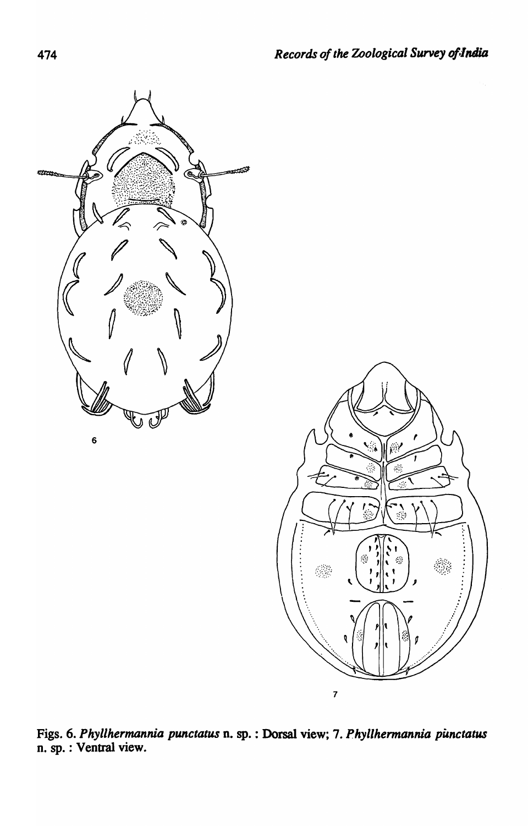

Figs. 6. *Phyllhermannia punctatus* n. sp. : Dorsal view; 7. *Phyllhermannia punctatus* n. sp. : Ventral view.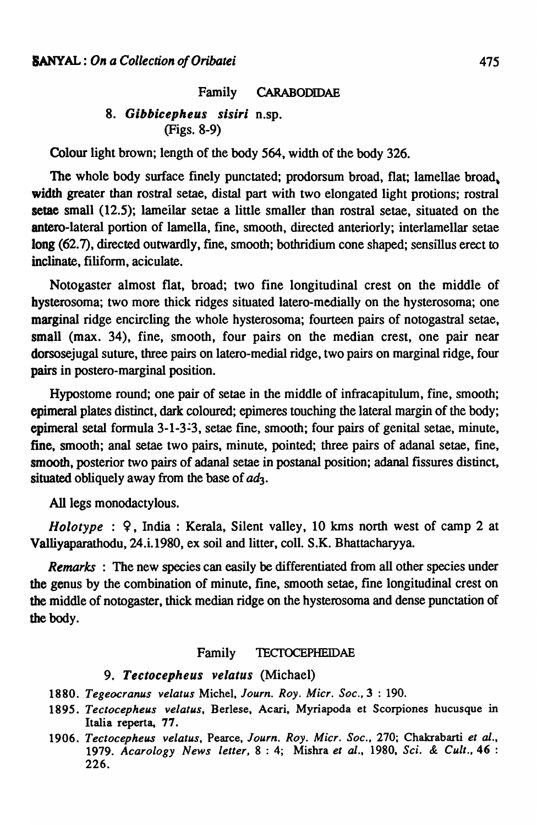Family CARABODIDAE

### *8. Gibbicepheus sisiri* n.sp. (Figs. 8-9)

Colour light brown; length of the body 564, width of the body 326.

The whole body surface finely punctated; prodorsum broad, flat; lamellae broad, width greater than rostral setae, distal part with two elongated light protions; rostral setae small (12.5); lameilar setae a little smaller than rostral setae, situated on the antero-Iateral portion of lamella, fine, smooth, directed anteriorly; interlamellar setae long (62.7), directed outwardly, fine, smooth; bothridium cone shaped; sensillus erect to inclinate, filiform, aciculate.

Notogaster almost flat, broad; two fine longitudinal crest on the middle of hysterosoma; two more thick ridges situated latero-medially on the hysterosoma; one marginal ridge encircling the whole hysterosoma; fourteen pairs of notogastral setae, small (max. 34), fine, smooth, four pairs on the median crest, one pair near dorsosejugal suture, three pairs on latero-medial ridge, two pairs on marginal ridge, four pairs in postero-marginal position.

Hypostome round; one pair of setae in the middle of infracapitulum, fine, smooth; epimeral plates distinct, dark coloured; epimeres touching the lateral margin of the body; epimeral setal formula 3-1-3-3, setae fine, smooth; four pairs of genital setae, minute, fine, smooth; anal setae two pairs, minute, pointed; three pairs of adanal setae, fine, smooth, posterior two pairs of adanal setae in postanal position; adanal fissures distinct, situated obliquely away from the base of *ad3.* 

All legs monodactylous.

*Holotype* : 9, India: Kerala, Silent valley, 10 kms north west of camp 2 at Va1liyaparathodu, 24.i.1980, ex soil and litter, colI. S.K. Bhattacharyya.

*Remarks* : The new species can easily be differentiated from all other species under the genus by the combination of minute, fine, smooth setae, fine longitudinal crest on the middle of notogaster, thick median ridge on the hysterosoma and dense punctation of the body.

#### Family TECfOCEPHEIDAE

#### 9. Tectocepheus velatus (Michael)

- *1880. Tegeocranus velatus* Michel, *Journ. Roy. Micr. Soc.,* 3 : 190.
- *1895. Tectocepheus velatus.* Berlese. Acari, Myriapoda et Scorpiones hucusque in Italia reperta, 77.
- *1906. Tectocepheus velatus,* Pearce, *Journ. Roy. Micr. Soc.,* 270; Chakrabarti *et* al., *1979. Acarology News letter,* 8 : 4; Mishra *et al.,* 1980, *Sci.* & *Cult.,* 46 : 226.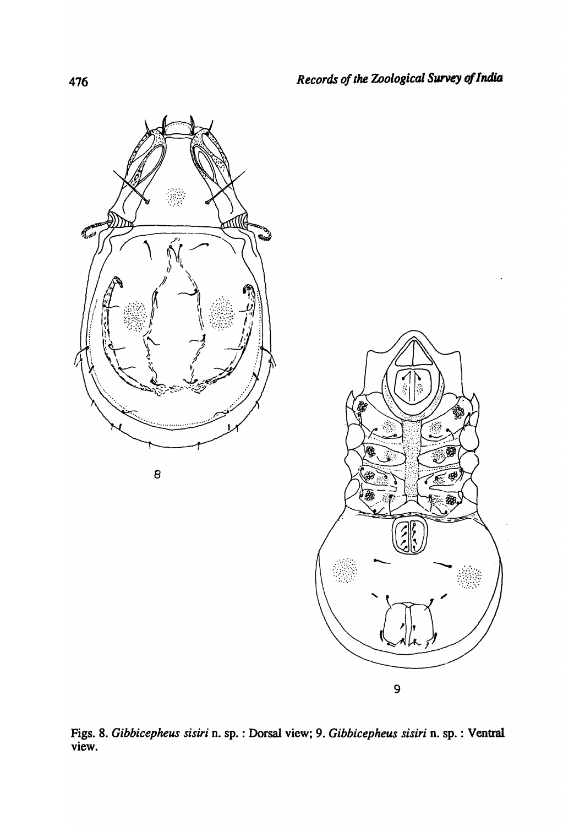

Figs. 8. *Gibbicepheus sisiri* n. sp. : Dorsal view; 9. *Gibbicepheus sisiri* n. sp. : Ventral view.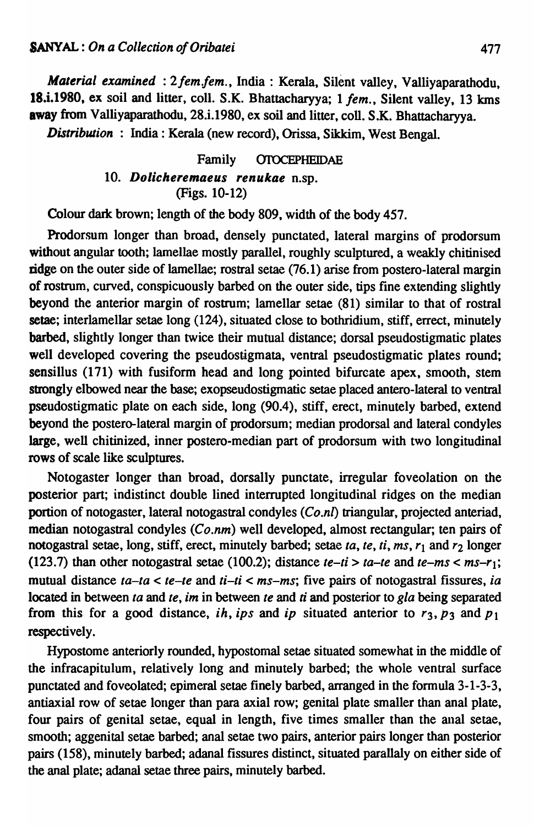*Material examined: 2 fem.fem., India: Kerala, Silent valley, Valliyaparathodu,* 18.i.1980, ex soil and litter, coll. S.K. Bhattacharyya; 1 *fem.*, Silent valley, 13 kms away from Valliyaparathodu, 28.i.1980, ex soil and litter, coll. S.K. Bhattacharyya.

*Distribution* : India: Kerala (new record), Orissa, Sikkim, West Bengal.

Family OIOCEPHEIDAE *10. Dolicheremaeus renukae* n.sp. (Figs. 10-12)

Colour dark brown; length of the body 809, width of the body 457.

Prodorsum longer than broad, densely punctated, lateral margins of prodorsum without angular tooth; lamellae mostly parallel, roughly sculptured, a weakly chitinised ridge on the outer side of lamellae; rostral setae (76.1) arise from postero-Iateral margin of rostrum, curved, conspicuously barbed on the outer side, tips fine extending slightly beyond the anterior margin of rostrum; lamellar setae (81) similar to that of rostral setae; interlamellar setae long (124), situated close to bothridium, stiff, errect, minutely barbed, slightly longer than twice their mutual distance; dorsal pseudostigmatic plates well developed covering the pseudostigmata, ventral pseudostigmatic plates round; sensillus (171) with fusiform head and long pointed bifurcate apex, smooth, stem strongly elbowed near the base; exopseudostigmatic setae placed antero-lateral to ventral pseudostigmatic plate on each side, long (90.4), stiff, erect, minutely barbed, extend beyond the postero-Iateral margin of prodorsum; median prodorsal and lateral condyles large, well chitinized, inner postero-median part of prodorsum with two longitudinal rows of scale like sculptures.

Notogaster longer than broad, dorsally punctate, irregular foveolation on the posterior part; indistinct double lined interrupted longitudinal ridges on the median portion of notogaster, lateral notogastral condyles *(Co.n/)* triangular, projected anteriad, median notogastral condyles *(Co.nm)* well developed, almost rectangular; ten pairs of notogastral setae, long, stiff, erect, minutely barbed; setae *ta*, *te*, *ti*, *ms*,  $r_1$  and  $r_2$  longer (123.7) than other notogastral setae (100.2); distance  $te-ti > ta-te$  and  $te-ms < ms-r_1$ ; mutual distance *la-Ia* < *te-Ie* and *li-ti* < *ms-ms;* five pairs of notogastral fissures, *ia*  located in between *la* and *Ie, im* in between *Ie* and *ti* and posterior to *gla* being separated from this for a good distance, *ih*, *ips* and *ip* situated anterior to  $r_3$ ,  $p_3$  and  $p_1$ respectively.

Hypostome anteriorly rounded, hypostomal setae situated somewhat in the middle of the infracapitulum, relatively long and minutely barbed; the whole ventral surface punctated and foveolated; epimeral setae finely barbed, arranged in the formula 3-1-3-3, antiaxial row of setae longer than para axial row; genital plate smaller than anal plate, four pairs of genital setae, equal in length, five times smaller than the anal setae, smooth; aggenital setae barbed; anal setae two pairs, anterior pairs longer than posterior pairs (158), minutely barbed; adana! fissures distinct, situated parallaly on either side of the anal plate; adanal setae three pairs, minutely barbed.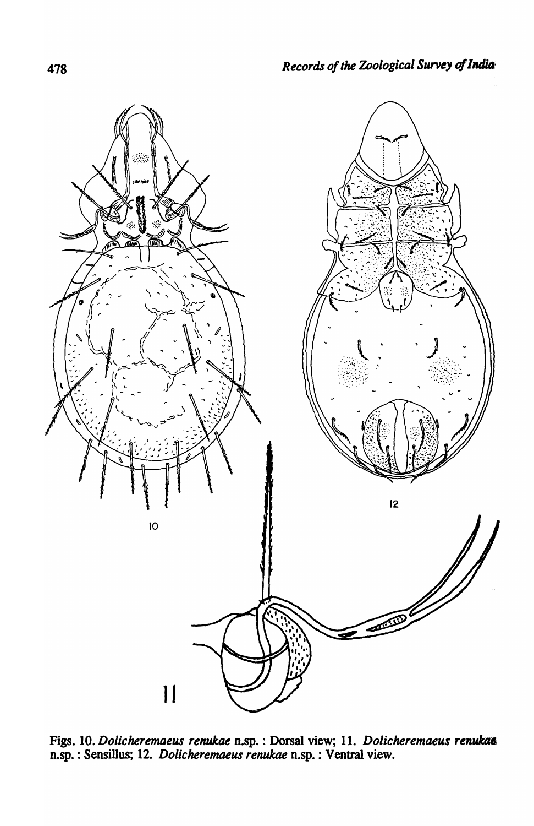

Figs. 10. *Dolicheremaeus renukae* n.sp. : Dorsal view; 11. *Dolicheremaeus renukae* n.sp. : Sensillus; 12. *Dolicheremaeus renukae* n.sp. : Venttal view.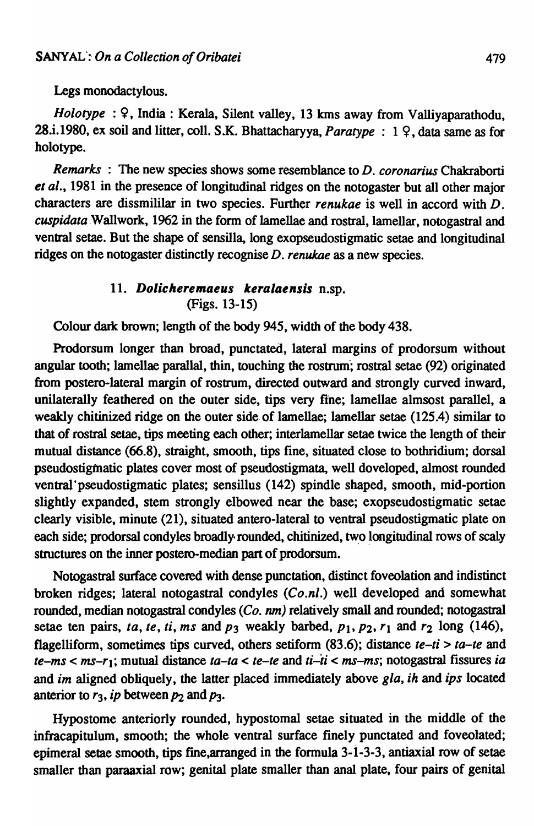Legs monodactylous.

*Holotype* : 9, India: Kerala, Silent valley, 13 kms away from Valliyaparathodu, 28.i.1980, ex soil and litter, coil. S.K. Bhattacharyya, *Paratype* : 1 9, data same as for holotype.

*Remarks* : The new species shows some resemblance to *D. coronarius* Chakraborti *et al.,* 1981 in the presence of longitudinal ridges on the notogaster but all other major characters are dissmililar in two species. Further *renukae* is well in accord with D. cuspidata Wallwork, 1962 in the form of lamellae and rostral, lamellar, notogastral and ventral setae. But the shape of sensilla, long exopseudostigmatic setae and longitudinal ridges on the notogaster distinctly recognise D. *renukae* as a new species.

### 11. Dolicheremaeus keralaensis n.sp. (Figs. 13-15)

Colour dark brown; length of the body 945, width of the body 438.

Prodorsum longer than broad, punctated, lateral margins of prodorsum without angular tooth; lamellae parallal, thin, touching the rostrum; rostral setae (92) originated from postero-lateral margin of rostrum, directed outward and strongly curved inward, unilaterally feathered on the outer side, tips very fine; lamellae almsost parallel, a weakly chitinized ridge on the outer side. of lamellae; lamellar setae (125.4) similar to that of rostral setae, tips meeting each other; interlamellar setae twice the length of their mutual distance (66.8), straight, smooth, tips fine, situated close to bothridium; dorsal pseudostigmatic plates cover most of pseudostigmata, well doveloped, almost rounded ventral'pseudostigmatic plates; sensillus (142) spindle shaped, smooth, mid-portion slightly expanded, stem strongly elbowed near the base; exopseudostigmatic setae clearly visible, minute (21), situated antero-lateral to ventral pseudostigmatic plate on each side; prodorsal condyles broadly rounded, chitinized, two longitudinal rows of scaly structures on the inner postero-median part of prodorsum.

Notogasttal surface covered with dense punctation, distinct foveolation and indistinct broken ridges; lateral notogastral condyles *(Co.nl.)* well developed and somewhat rounded, median notogastral condyles  $(C_0, nm)$  relatively small and rounded; notogastral setae ten pairs, *ta*, *te*, *ti*, *ms* and  $p_3$  weakly barbed,  $p_1$ ,  $p_2$ ,  $r_1$  and  $r_2$  long (146), flagelliform, sometimes tips curved, others setiform (83.6); distance *te-ti> ta-te* and *te-ms* < ms-rl; mutual distance *ta-ta* < *te-te* and *ti-ti* < *ms-ms;* notogastral fissures *ia*  and *im* aligned obliquely, the latter placed immediately above *gla, ih* and *ips* located anterior to  $r_3$ , *ip* between  $p_2$  and  $p_3$ .

Hypostome anteriorly rounded, hypostomal setae situated in the middle of the infracapitulum, smooth; the whole ventral surface finely punctated and foveolated; epimeral setae smooth, tips fme,arranged in the formula 3-i-3-3, antiaxial row of setae smaller than paraaxial row; genital plate smaller than anal plate, four pairs of genital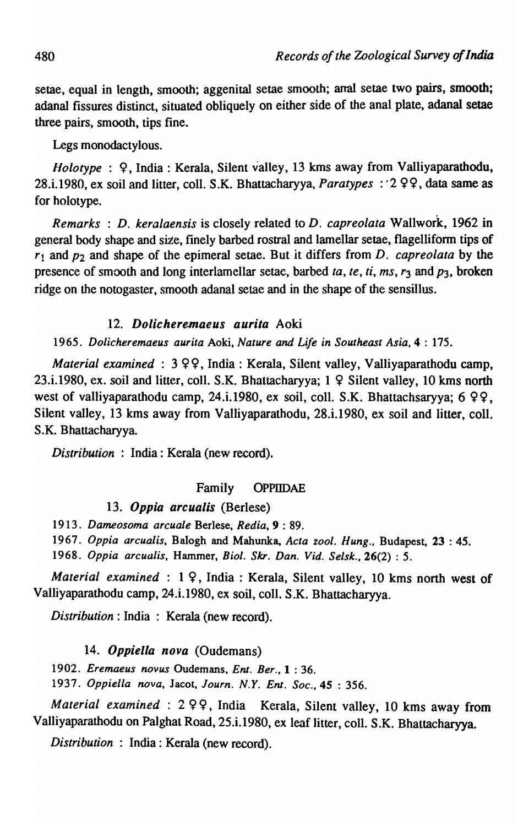setae, equal in length, smooth; aggenital setae smooth; anal setae two pairs, smooth; adanal fissures distinct, situated obliquely on either side of the anal plate, adanal setae three pairs, smooth, tips fine.

Legs monodactylous.

*Holotype* : 9, India: Kerala, Silent valley, 13 kms away from Valliyaparathodu, 28.i.1980, ex soil and litter, colI. S.K. Bhattacharyya, *Paratypes* :·2 99, data same as for holotype.

*Remarks* : *D. keralaensis* is closely related to *D. capreolata* Wallwork, 1962 in general body shape and size, finely barbed rostral and lamellar setae, flagelliform tips of *r1* and *P2* and shape of the epimeral setae. But it differs from *D. capreolata* by the presence of smooth and long interlamellar setae, barbed *ta, te, ti, ms, r3* and *P3,* broken ridge on the notogaster, smooth adanal setae and in the shape of the sensillus.

### *12. Dolicheremaeus aurila* Aoki

*1965. Dolicheremaeus aurita* Aoki, *Nature and Life in Southeast Asia,* 4 : 175.

*Material examined:* 3 99, India: Kerala, Silent valley, Valliyaparathodu camp, 23.i.1980, ex. soil and litter, coll. S.K. Bhattacharyya;  $1 \nsubseteq$  Silent valley, 10 kms north west of valliyaparathodu camp, 24.i.1980, ex soil, coll. S.K. Bhattachsaryya;  $6\varphi\varphi$ , Silent valley, 13 kms away from Valliyaparathodu, 28.i.1980, ex soil and litter, coll. S.K. Bhattacharyya.

*Distribution* : India: Kerala (new record).

## Family OPPIIDAE

## *13. Oppia arcualis* (Berlese)

*1913. Dameosoma arcuale* Berlese, *Redia,* 9 : 89.

*1967. Oppia arcualis,* Balogh and Mahunka, *Acta zool. Hung.,* Budapest, 23 : 45.

*1968. Oppia arcualis,* Hammer, *Bioi. Skr. Dan. Vid. Selsk.,26(2)* : 5.

*Material examined* : 1 9, India: Kerala, Silent valley, 10 kms north west of Valliyaparathodu camp, 24.i.1980, ex soil, colI. S.K. Bhattacharyya.

*Distribution:* India : Kerala (new record).

### *14. Oppiella nova* (Oudemans)

*1902. Eremaeus nov us* Oudemans, *Ent. Ber.,* 1 : 36.

*1937. OppieUa nova,* Jacot, *Journ. N.Y. Ent. Soc.,4S* : 356.

*Material examined* : 2 9 9, India Kerala, Silent valley, 10 kms away from Valliyaparathodu on Palghat Road, 25.i.1980, ex leaf litter, coIl. S.K. Bhattacharyya.

*Distribution* : India: Kerala (new record).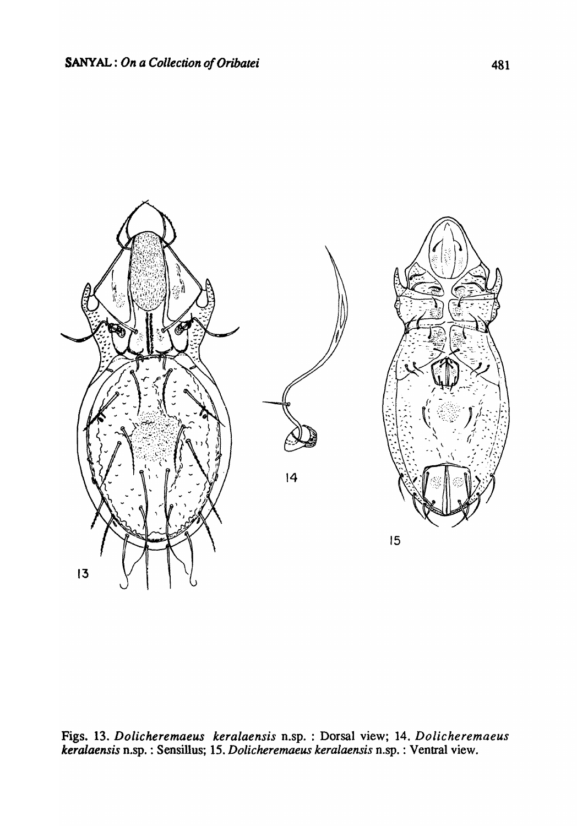

Figs. 13. *Dolicheremaeus keralaensis* n.sp. : Dorsal view; 14. *Dolicheremaeus keralaensis* n.sp. : Sensillus; 15. *Dolicheremaeus keralaensis* n.sp. : Ventral view.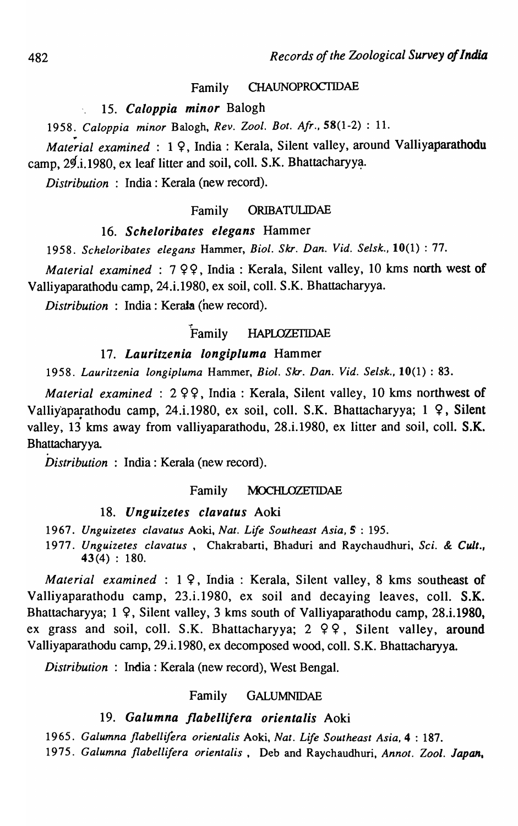#### Family CHAUNOPROCTIDAE

#### *15. Caloppia minor* Balogh

*1958. Caloppia minor* Balogh, *Rev. Zool. Bot. Afr.,* 58(1-2) : 1l.

Material examined: 19, India: Kerala, Silent valley, around Valliyaparathodu camp,  $2\frac{d}{d}$ . 1980, ex leaf litter and soil, coll. S.K. Bhattacharyya.

*Distribution* : India: Kerala (new record).

### Family ORIBATULIDAE

### *16. Scheloribates elegans* Hammer

*1958. Scheloribates elegans* Hammer, *BioI. Skr. Dan. Vide SeIsk.,* 10(1) : 77.

*Material examined* : 7 99, India: Kerala, Silent valley, 10 kms north west of Valliyaparathodu-camp, 24.i.1980, ex soil, colI. S.K. Bhattacharyya.

*Distribution* : India: Kerata (new record).

#### Family HAPLOZETIDAE

## *17. Lauritzenia longipluma* Hammer

. ,

*1958. Lauritzenia longipluma* Hammer, *BioI. Skr. Dan. Vide Selsk.,* 10(1) : 83.

*Material examined* : 299, India: Kerala, Silent valley, 10 kms northwest of Valliyaparathodu camp, 24.i.1980, ex soil, coll. S.K. Bhattacharyya; 1  $\varphi$ , Silent valley, 13 kms away from valliyaparathodu, 28.i.1980, ex litter and soil, coll. S.K. Bhattacharyya

*Distribution:* India: Kerala (new record).

#### Family MOCHLOZETIDAE

### *18. Unguizetes clavatus* Aoki

- *1967. Unguizetes clavatus* Aoki, *Nat. Life Southeast Asia,* 5' : 195.
- *1977. Unguizetes clavatus,* Chakrabarti, Bhaduri and Raychaudhuri, *Sci.* & *Cult.,*  43(4) : 180.

*Material examined* :  $1 \, 9$ , India: Kerala, Silent valley, 8 kms southeast of Valliyaparathodu camp, 23.i.1980, ex soil and decaying leaves, colI. S.K. Bhattacharyya; 1 9, Silent valley, 3 kms south of Valliyaparathodu camp, 28.i.1980, ex grass and soil, coll. S.K. Bhattacharyya;  $2 \varphi$ , Silent valley, around Valliyaparathodu camp, 29.i.1980, ex decomposed wood, colI. S.K. Bhattacharyya.

*Distribution* : India: Kerala (new record), West Bengal.

#### Family GALUMNIDAE

#### *19. Galumna flabellifera orientalis* Aoki

*1965. Galumna flabelli/era orienlalis* Aoki, *Nat. Life Southeast Asia,* 4 : 187.

*1975. Galumna flabellifera orientaIis,* Deb and Raychaudhuri, *Annot. Zool. Japan.*